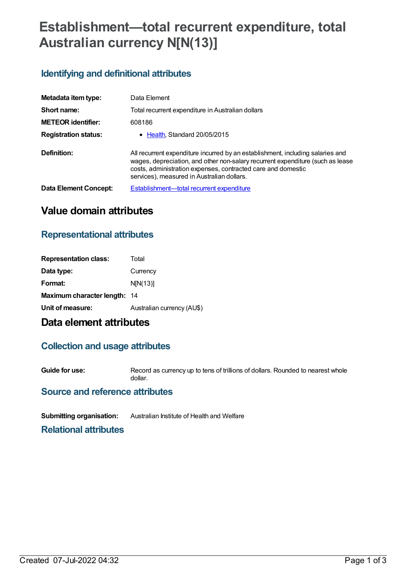# **Establishment—total recurrent expenditure, total Australian currency N[N(13)]**

## **Identifying and definitional attributes**

| Metadata item type:          | Data Element                                                                                                                                                                                                                                                                   |  |
|------------------------------|--------------------------------------------------------------------------------------------------------------------------------------------------------------------------------------------------------------------------------------------------------------------------------|--|
| Short name:                  | Total recurrent expenditure in Australian dollars                                                                                                                                                                                                                              |  |
| <b>METEOR identifier:</b>    | 608186                                                                                                                                                                                                                                                                         |  |
| <b>Registration status:</b>  | • Health, Standard 20/05/2015                                                                                                                                                                                                                                                  |  |
| Definition:                  | All recurrent expenditure incurred by an establishment, including salaries and<br>wages, depreciation, and other non-salary recurrent expenditure (such as lease<br>costs, administration expenses, contracted care and domestic<br>services), measured in Australian dollars. |  |
| <b>Data Element Concept:</b> | Establishment-total recurrent expenditure                                                                                                                                                                                                                                      |  |

## **Value domain attributes**

## **Representational attributes**

| <b>Representation class:</b>        | Total                      |
|-------------------------------------|----------------------------|
| Data type:                          | Currency                   |
| Format:                             | N[N(13)]                   |
| <b>Maximum character length: 14</b> |                            |
| Unit of measure:                    | Australian currency (AU\$) |

## **Data element attributes**

## **Collection and usage attributes**

**Guide for use:** Record as currency up to tens of trillions of dollars. Rounded to nearest whole dollar.

### **Source and reference attributes**

**Submitting organisation:** Australian Institute of Health and Welfare

**Relational attributes**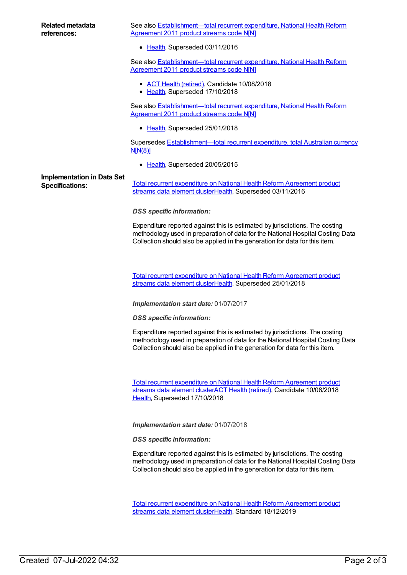See also **[Establishment—total](https://meteor.aihw.gov.au/content/540184) recurrent expenditure, National Health Reform** Agreement 2011 product streams code N[N]

• [Health](https://meteor.aihw.gov.au/RegistrationAuthority/12), Superseded 03/11/2016

See also Establishment-total recurrent expenditure, National Health Reform Agreement 2011 product streams code NIN1

- ACT Health [\(retired\)](https://meteor.aihw.gov.au/RegistrationAuthority/9), Candidate 10/08/2018
- [Health](https://meteor.aihw.gov.au/RegistrationAuthority/12), Superseded 17/10/2018

See also **[Establishment—total](https://meteor.aihw.gov.au/content/643186) recurrent expenditure, National Health Reform** Agreement 2011 product streams code N[N]

• [Health](https://meteor.aihw.gov.au/RegistrationAuthority/12), Superseded 25/01/2018

Supersedes **[Establishment—total](https://meteor.aihw.gov.au/content/540165) recurrent expenditure, total Australian currency** N[N(8)]

• [Health](https://meteor.aihw.gov.au/RegistrationAuthority/12), Superseded 20/05/2015

## **Implementation in Data Set**

Specifications: Total recurrent [expenditure](https://meteor.aihw.gov.au/content/608182) on National Health Reform Agreement product streams data element cluster[Health,](https://meteor.aihw.gov.au/RegistrationAuthority/12) Superseded 03/11/2016

### *DSS specific information:*

Expenditure reported against this is estimated by jurisdictions. The costing methodology used in preparation of data for the National Hospital Costing Data Collection should also be applied in the generation for data for this item.

Total recurrent [expenditure](https://meteor.aihw.gov.au/content/643016) on National Health Reform Agreement product streams data element cluster[Health,](https://meteor.aihw.gov.au/RegistrationAuthority/12) Superseded 25/01/2018

### *Implementation start date:* 01/07/2017

*DSS specific information:*

Expenditure reported against this is estimated by jurisdictions. The costing methodology used in preparation of data for the National Hospital Costing Data Collection should also be applied in the generation for data for this item.

Total recurrent [expenditure](https://meteor.aihw.gov.au/content/679213) on National Health Reform Agreement product streams data element clusterACT Health [\(retired\)](https://meteor.aihw.gov.au/RegistrationAuthority/9), Candidate 10/08/2018 [Health](https://meteor.aihw.gov.au/RegistrationAuthority/12), Superseded 17/10/2018

*Implementation start date:* 01/07/2018

*DSS specific information:*

Expenditure reported against this is estimated by jurisdictions. The costing methodology used in preparation of data for the National Hospital Costing Data Collection should also be applied in the generation for data for this item.

Total recurrent [expenditure](https://meteor.aihw.gov.au/content/718209) on National Health Reform Agreement product streams data element cluster[Health,](https://meteor.aihw.gov.au/RegistrationAuthority/12) Standard 18/12/2019